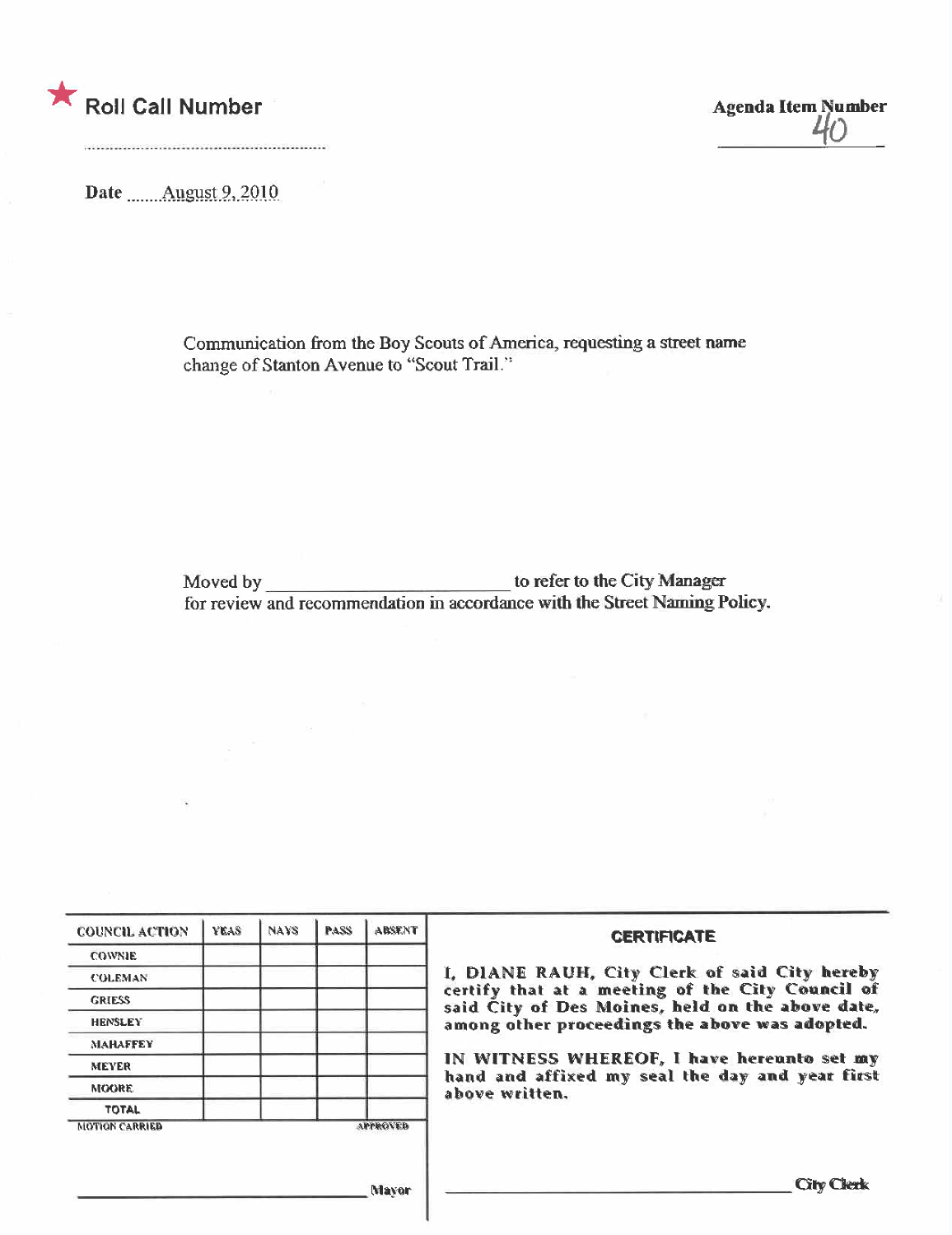

**Agenda Item Number**  $\mu_0$ 

Date \_\_\_\_\_ August 9, 2010

Communication from the Boy Scouts of America, requesting a street name change of Stanton Avenue to "Scout Trail."

for review and recommendation in accordance with the Street Naming Policy.

| <b>COUNCIL ACTION</b> | YEAS | <b>NAYS</b> | <b>PASS</b> | <b>ABSENT</b> | <b>CERTIFICATE</b>                                                                                              |  |  |
|-----------------------|------|-------------|-------------|---------------|-----------------------------------------------------------------------------------------------------------------|--|--|
| <b>COWNIE</b>         |      |             |             |               |                                                                                                                 |  |  |
| <b>COLEMAN</b>        |      |             |             |               | I, DIANE RAUH, City Clerk of said City hereby                                                                   |  |  |
| <b>GRIESS</b>         |      |             |             |               | certify that at a meeting of the City Council of<br>said City of Des Moines, held on the above date,            |  |  |
| <b>HENSLEY</b>        |      |             |             |               | among other proceedings the above was adopted.                                                                  |  |  |
| <b>MAHAFFEY</b>       |      |             |             |               | IN WITNESS WHEREOF, I have hereunto set my<br>hand and affixed my seal the day and year first<br>above written. |  |  |
| <b>MEYER</b>          |      |             |             |               |                                                                                                                 |  |  |
| <b>MOORE</b>          |      |             |             |               |                                                                                                                 |  |  |
| <b>TOTAL</b>          |      |             |             |               |                                                                                                                 |  |  |
| <b>MOTION CARRIED</b> |      |             |             | APPROVED      |                                                                                                                 |  |  |
|                       |      |             |             |               |                                                                                                                 |  |  |
|                       |      |             |             | Mayan         | <b>Cilv Clerk</b>                                                                                               |  |  |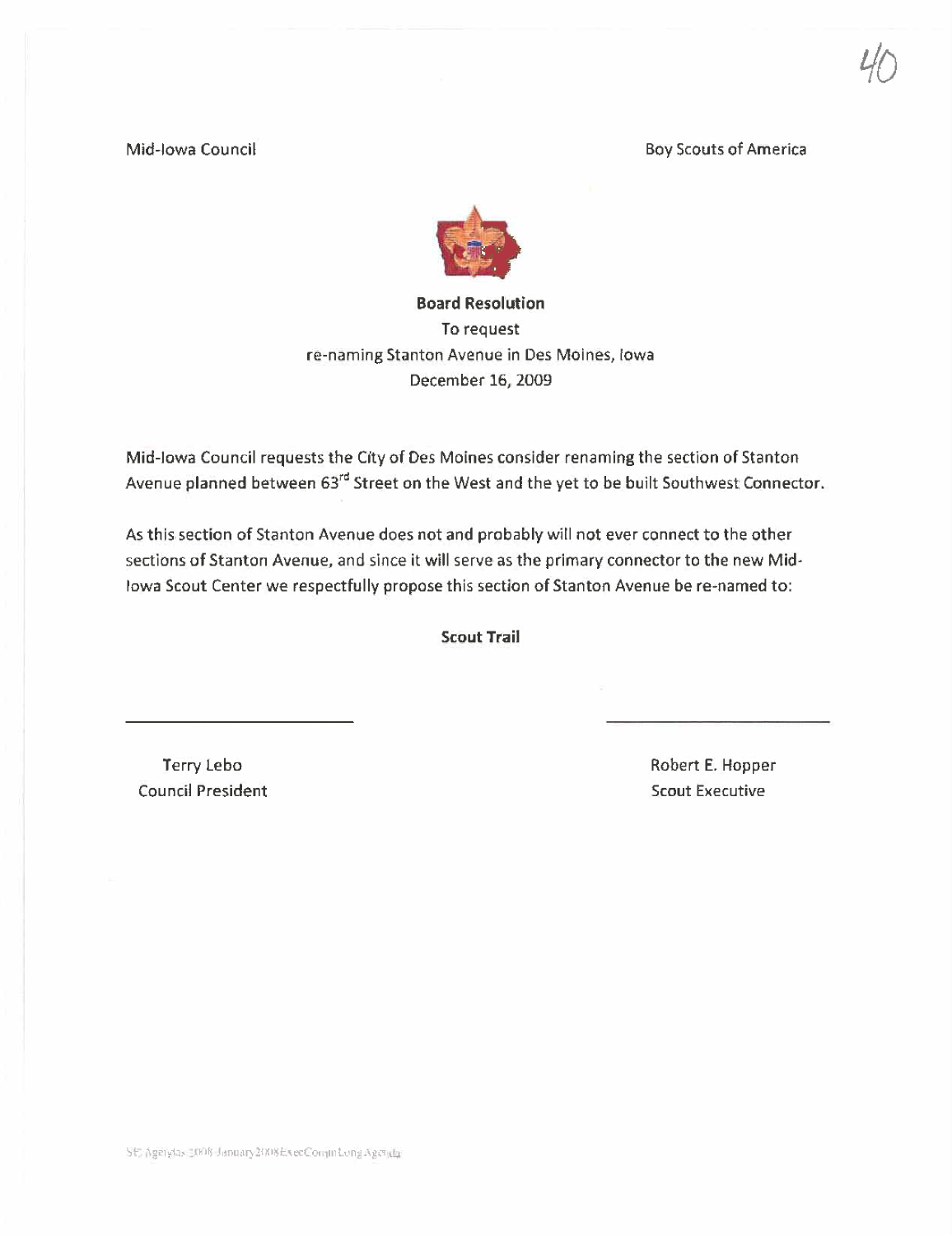Mid-Iowa Council and The Council Boy Scouts of America

 $70$ 



To request fe-naming Stanton Avenue in Des Moines, Iowa December 16, 2009

Mid-Iowa Council requests the City of Des Moines consider renaming the section of Stanton Avenue planned between 63<sup>rd</sup> Street on the West and the yet to be built Southwest Connector.

As this section of Stanton Avenue does not and probably will not ever connect to the other sections of Stanton Avenue, and since it will serve as the primary connector to the new Mid-Iowa Scout Center we respectfully propose this section of Stanton Avenue be re-named to:

Scout Trail

Terry lebo Council President Robert E. Hopper Scout Executive